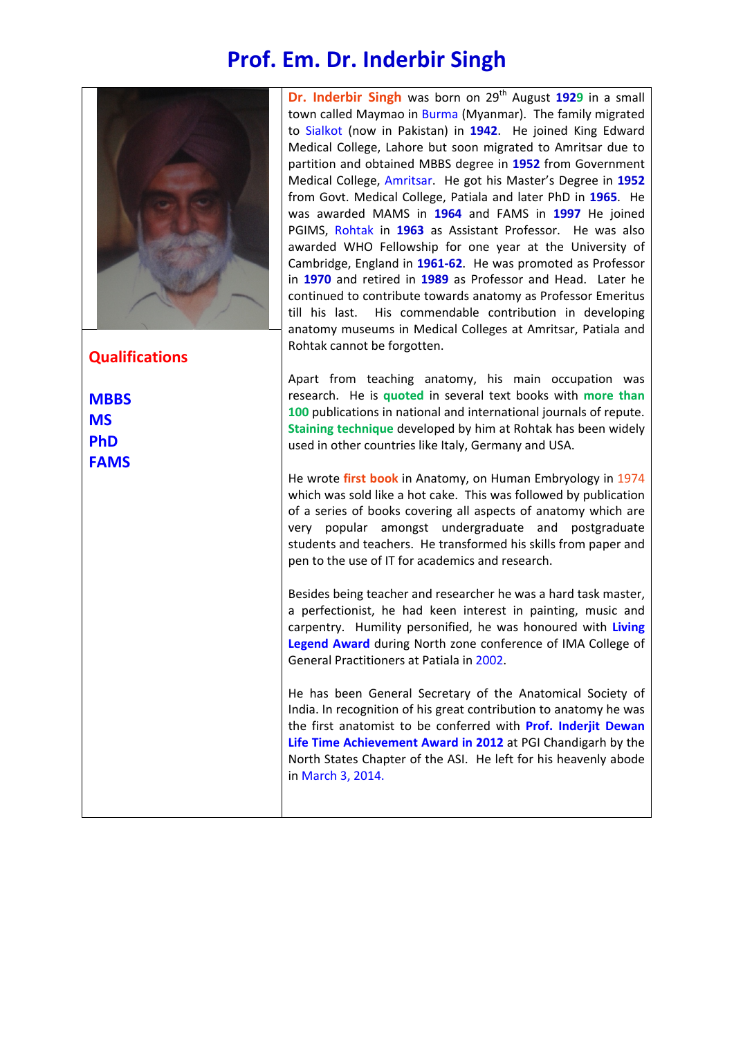## **Prof. Em. Dr. Inderbir Singh**



**Qualifications** 

**MBBS MS PhD FAMS**

**Dr. Inderbir Singh** was born on 29<sup>th</sup> August 1929 in a small town called Maymao in Burma (Myanmar). The family migrated to Sialkot (now in Pakistan) in **1942**. He joined King Edward Medical College, Lahore but soon migrated to Amritsar due to partition and obtained MBBS degree in **1952** from Government Medical College, Amritsar. He got his Master's Degree in **1952** from Govt. Medical College, Patiala and later PhD in **1965**. He was awarded MAMS in **1964** and FAMS in **1997** He joined PGIMS, Rohtak in **1963** as Assistant Professor. He was also awarded WHO Fellowship for one year at the University of Cambridge, England in **1961-62**. He was promoted as Professor in **1970** and retired in **1989** as Professor and Head. Later he continued to contribute towards anatomy as Professor Emeritus till his last. His commendable contribution in developing anatomy museums in Medical Colleges at Amritsar, Patiala and Rohtak cannot be forgotten.

Apart from teaching anatomy, his main occupation was research. He is **quoted** in several text books with **more than 100** publications in national and international journals of repute. **Staining technique** developed by him at Rohtak has been widely used in other countries like Italy, Germany and USA.

He wrote **first book** in Anatomy, on Human Embryology in 1974 which was sold like a hot cake. This was followed by publication of a series of books covering all aspects of anatomy which are very popular amongst undergraduate and postgraduate students and teachers. He transformed his skills from paper and pen to the use of IT for academics and research.

Besides being teacher and researcher he was a hard task master, a perfectionist, he had keen interest in painting, music and carpentry. Humility personified, he was honoured with **Living Legend Award** during North zone conference of IMA College of General Practitioners at Patiala in 2002.

He has been General Secretary of the Anatomical Society of India. In recognition of his great contribution to anatomy he was the first anatomist to be conferred with **Prof. Inderjit Dewan Life Time Achievement Award in 2012** at PGI Chandigarh by the North States Chapter of the ASI. He left for his heavenly abode in March 3, 2014.